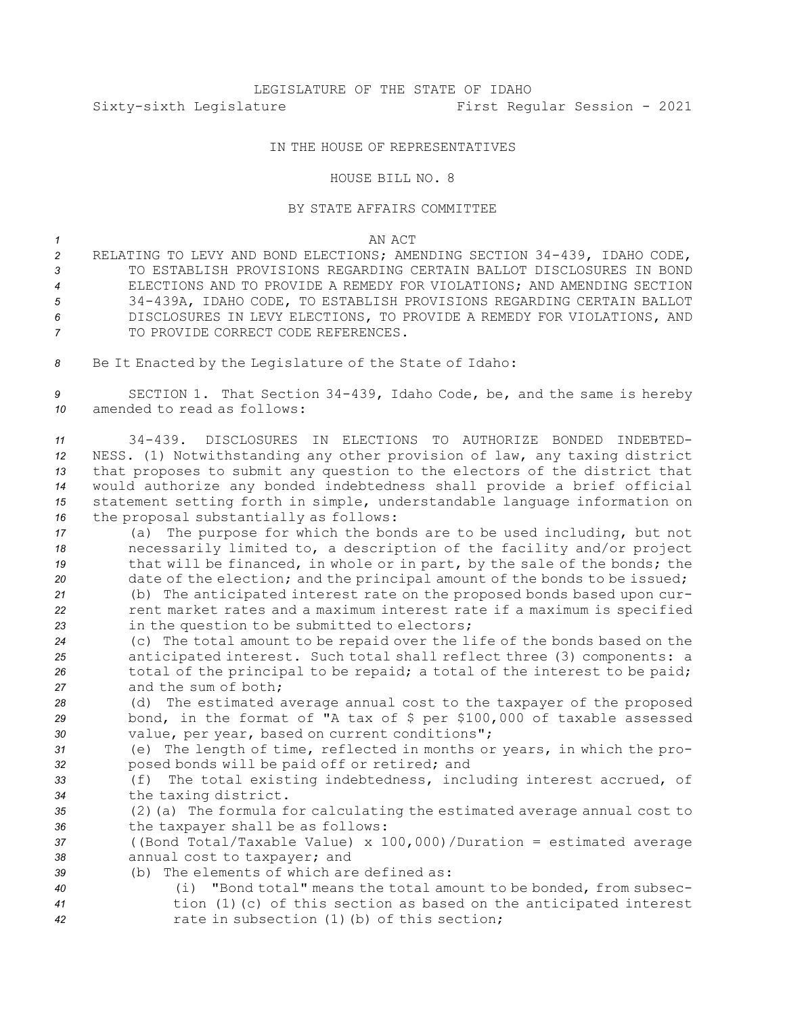## IN THE HOUSE OF REPRESENTATIVES

## HOUSE BILL NO. 8

## BY STATE AFFAIRS COMMITTEE

*1* AN ACT

 RELATING TO LEVY AND BOND ELECTIONS; AMENDING SECTION 34-439, IDAHO CODE, TO ESTABLISH PROVISIONS REGARDING CERTAIN BALLOT DISCLOSURES IN BOND ELECTIONS AND TO PROVIDE A REMEDY FOR VIOLATIONS; AND AMENDING SECTION 34-439A, IDAHO CODE, TO ESTABLISH PROVISIONS REGARDING CERTAIN BALLOT DISCLOSURES IN LEVY ELECTIONS, TO PROVIDE A REMEDY FOR VIOLATIONS, AND 7 TO PROVIDE CORRECT CODE REFERENCES.

*<sup>8</sup>* Be It Enacted by the Legislature of the State of Idaho:

*<sup>9</sup>* SECTION 1. That Section 34-439, Idaho Code, be, and the same is hereby *10* amended to read as follows:

 34-439. DISCLOSURES IN ELECTIONS TO AUTHORIZE BONDED INDEBTED- NESS. (1) Notwithstanding any other provision of law, any taxing district that proposes to submit any question to the electors of the district that would authorize any bonded indebtedness shall provide <sup>a</sup> brief official statement setting forth in simple, understandable language information on the proposal substantially as follows:

 (a) The purpose for which the bonds are to be used including, but not necessarily limited to, <sup>a</sup> description of the facility and/or project that will be financed, in whole or in part, by the sale of the bonds; the date of the election; and the principal amount of the bonds to be issued;

*<sup>21</sup>* (b) The anticipated interest rate on the proposed bonds based upon cur-*<sup>22</sup>* rent market rates and <sup>a</sup> maximum interest rate if <sup>a</sup> maximum is specified *<sup>23</sup>* in the question to be submitted to electors;

 (c) The total amount to be repaid over the life of the bonds based on the anticipated interest. Such total shall reflect three (3) components: <sup>a</sup> 26 total of the principal to be repaid; a total of the interest to be paid; and the sum of both;

*<sup>28</sup>* (d) The estimated average annual cost to the taxpayer of the proposed *<sup>29</sup>* bond, in the format of "A tax of \$ per \$100,000 of taxable assessed *<sup>30</sup>* value, per year, based on current conditions";

- *<sup>31</sup>* (e) The length of time, reflected in months or years, in which the pro-*<sup>32</sup>* posed bonds will be paid off or retired; and
- *<sup>33</sup>* (f) The total existing indebtedness, including interest accrued, of *<sup>34</sup>* the taxing district.
- *<sup>35</sup>* (2)(a) The formula for calculating the estimated average annual cost to *<sup>36</sup>* the taxpayer shall be as follows:
- *<sup>37</sup>* ((Bond Total/Taxable Value) <sup>x</sup> 100,000)/Duration <sup>=</sup> estimated average *<sup>38</sup>* annual cost to taxpayer; and

*39* (b) The elements of which are defined as:

- 
- *<sup>40</sup>* (i) "Bond total" means the total amount to be bonded, from subsec-*<sup>41</sup>* tion (1)(c) of this section as based on the anticipated interest *<sup>42</sup>* rate in subsection (1)(b) of this section;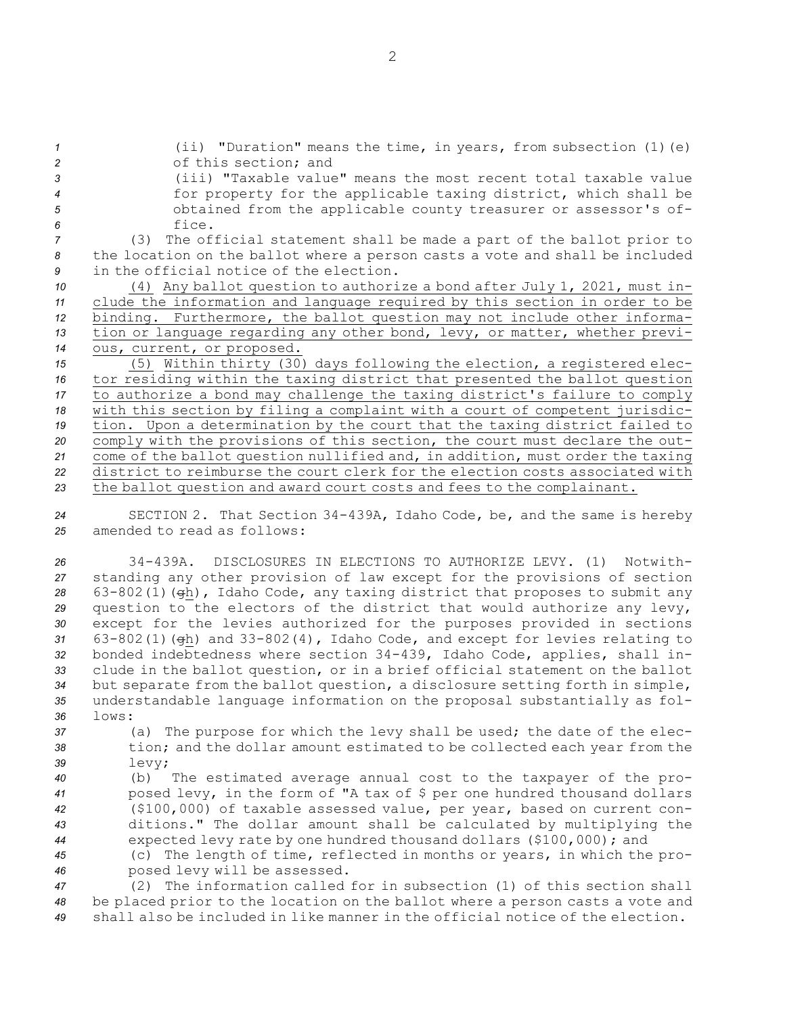(ii) "Duration" means the time, in years, from subsection (1)(e) of this section; and (iii) "Taxable value" means the most recent total taxable value for property for the applicable taxing district, which shall be obtained from the applicable county treasurer or assessor's of-*6* fice. (3) The official statement shall be made <sup>a</sup> part of the ballot prior to the location on the ballot where <sup>a</sup> person casts <sup>a</sup> vote and shall be included in the official notice of the election. (4) Any ballot question to authorize <sup>a</sup> bond after July 1, 2021, must in- clude the information and language required by this section in order to be binding. Furthermore, the ballot question may not include other informa- tion or language regarding any other bond, levy, or matter, whether previ- ous, current, or proposed. (5) Within thirty (30) days following the election, <sup>a</sup> registered elec- tor residing within the taxing district that presented the ballot question to authorize <sup>a</sup> bond may challenge the taxing district's failure to comply with this section by filing <sup>a</sup> complaint with <sup>a</sup> court of competent jurisdic- tion. Upon <sup>a</sup> determination by the court that the taxing district failed to comply with the provisions of this section, the court must declare the out- come of the ballot question nullified and, in addition, must order the taxing district to reimburse the court clerk for the election costs associated with the ballot question and award court costs and fees to the complainant.

*<sup>24</sup>* SECTION 2. That Section 34-439A, Idaho Code, be, and the same is hereby *25* amended to read as follows:

 34-439A. DISCLOSURES IN ELECTIONS TO AUTHORIZE LEVY. (1) Notwith- standing any other provision of law except for the provisions of section 63-802(1)(gh), Idaho Code, any taxing district that proposes to submit any question to the electors of the district that would authorize any levy, except for the levies authorized for the purposes provided in sections 63-802(1)(gh) and 33-802(4), Idaho Code, and except for levies relating to bonded indebtedness where section 34-439, Idaho Code, applies, shall in- clude in the ballot question, or in <sup>a</sup> brief official statement on the ballot but separate from the ballot question, <sup>a</sup> disclosure setting forth in simple, understandable language information on the proposal substantially as fol-*36* lows:

- *<sup>37</sup>* (a) The purpose for which the levy shall be used; the date of the elec-*<sup>38</sup>* tion; and the dollar amount estimated to be collected each year from the *<sup>39</sup>* levy;
- *<sup>40</sup>* (b) The estimated average annual cost to the taxpayer of the pro-*<sup>41</sup>* posed levy, in the form of "A tax of \$ per one hundred thousand dollars *<sup>42</sup>* (\$100,000) of taxable assessed value, per year, based on current con-*<sup>43</sup>* ditions." The dollar amount shall be calculated by multiplying the *<sup>44</sup>* expected levy rate by one hundred thousand dollars (\$100,000); and
- *<sup>45</sup>* (c) The length of time, reflected in months or years, in which the pro-*<sup>46</sup>* posed levy will be assessed.

*<sup>47</sup>* (2) The information called for in subsection (1) of this section shall *<sup>48</sup>* be placed prior to the location on the ballot where <sup>a</sup> person casts <sup>a</sup> vote and *49* shall also be included in like manner in the official notice of the election.